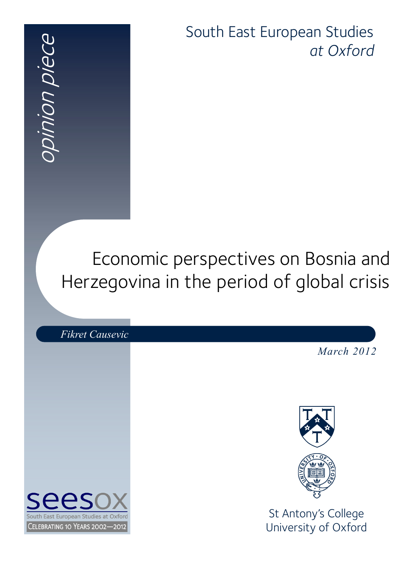opinion piece pinion piece

South East European Studies *at Oxford*

# Economic perspectives on Bosnia and Herzegovina in the period of global crisis

*Fikret Causevic March 2012* St Antony's College **Furopean Studies at Oxford** University of Oxford CELEBRATING 10 YEARS 2002-2012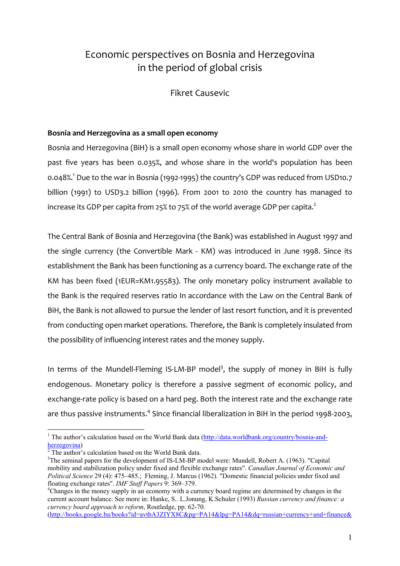### Economic perspectives on Bosnia and Herzegovina in the period of global crisis

Fikret Causevic

#### **Bosnia and Herzegovina as a small open economy**

Bosnia and Herzegovina (BiH) is a small open economy whose share in world GDP over the past five years has been 0.035%, and whose share in the world's population has been 0.048%.1 Due to the war in Bosnia (1992-1995) the country's GDP was reduced from USD10.7 billion (1991) to USD3.2 billion (1996). From 2001 to 2010 the country has managed to increase its GDP per capita from 25% to 75% of the world average GDP per capita.<sup>2</sup>

The Central Bank of Bosnia and Herzegovina (the Bank) was established in August 1997 and the single currency (the Convertible Mark - KM) was introduced in June 1998. Since its establishment the Bank has been functioning as a currency board. The exchange rate of the KM has been fixed (1EUR=KM1.95583). The only monetary policy instrument available to the Bank is the required reserves ratio In accordance with the Law on the Central Bank of BiH, the Bank is not allowed to pursue the lender of last resort function, and it is prevented from conducting open market operations. Therefore, the Bank is completely insulated from the possibility of influencing interest rates and the money supply.

In terms of the Mundell-Fleming IS-LM-BP model<sup>3</sup>, the supply of money in BiH is fully endogenous. Monetary policy is therefore a passive segment of economic policy, and exchange-rate policy is based on a hard peg. Both the interest rate and the exchange rate are thus passive instruments.<sup>4</sup> Since financial liberalization in BiH in the period 1998-2003,

1

(http://books.google.ba/books?id=avtbA3ZIYX8C&pg=PA14&lpg=PA14&dq=russian+currency+and+finance&

<sup>&</sup>lt;sup>1</sup> The author's calculation based on the World Bank data (http://data.worldbank.org/country/bosnia-andherzegovina) 2

 $\frac{1}{2}$ The author's calculation based on the World Bank data.

<sup>&</sup>lt;sup>3</sup>The seminal papers for the development of IS-LM-BP model were: Mundell, Robert A. (1963). "Capital mobility and stabilization policy under fixed and flexible exchange rates". *Canadian Journal of Economic and Political Science* 29 (4): 475–485.; Fleming, J. Marcus (1962). "Domestic financial policies under fixed and floating exchange rates". *IMF Staff Papers* 9: 369–379. 4

Changes in the money supply in an economy with a currency board regime are determined by changes in the current account balance. See more in: Hanke, S.. L.Jonung, K.Schuler (1993) *Russian currency and finance: a currency board approach to reform*, Routledge, pp. 62-70.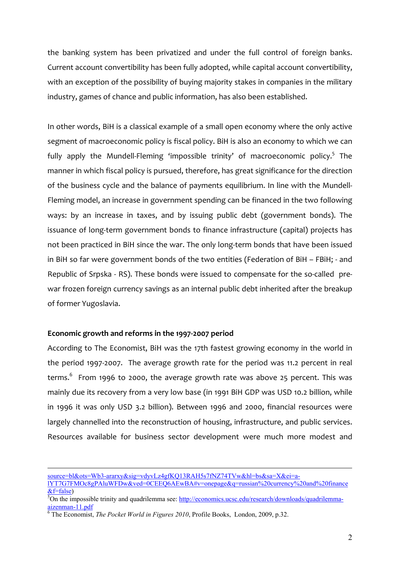the banking system has been privatized and under the full control of foreign banks. Current account convertibility has been fully adopted, while capital account convertibility, with an exception of the possibility of buying majority stakes in companies in the military industry, games of chance and public information, has also been established.

In other words, BiH is a classical example of a small open economy where the only active segment of macroeconomic policy is fiscal policy. BiH is also an economy to which we can fully apply the Mundell-Fleming 'impossible trinity' of macroeconomic policy.<sup>5</sup> The manner in which fiscal policy is pursued, therefore, has great significance for the direction of the business cycle and the balance of payments equilibrium. In line with the Mundell-Fleming model, an increase in government spending can be financed in the two following ways: by an increase in taxes, and by issuing public debt (government bonds). The issuance of long-term government bonds to finance infrastructure (capital) projects has not been practiced in BiH since the war. The only long-term bonds that have been issued in BiH so far were government bonds of the two entities (Federation of BiH – FBiH; - and Republic of Srpska - RS). These bonds were issued to compensate for the so-called prewar frozen foreign currency savings as an internal public debt inherited after the breakup of former Yugoslavia.

#### **Economic growth and reforms in the 1997-2007 period**

According to The Economist, BiH was the 17th fastest growing economy in the world in the period 1997-2007. The average growth rate for the period was 11.2 percent in real terms.<sup>6</sup> From 1996 to 2000, the average growth rate was above 25 percent. This was mainly due its recovery from a very low base (in 1991 BiH GDP was USD 10.2 billion, while in 1996 it was only USD 3.2 billion). Between 1996 and 2000, financial resources were largely channelled into the reconstruction of housing, infrastructure, and public services. Resources available for business sector development were much more modest and

source=bl&ots=Wb3-ararxy&sig=vdyvLz4gfKQ13RAH5s7fNZ74TVw&hl=bs&sa=X&ei=a-

lYT7G7FMOc8gPAluWFDw&ved=0CEEQ6AEwBA#v=onepage&q=russian%20currency%20and%20finance  $&$ f=false)

<sup>&</sup>lt;sup>5</sup>On the impossible trinity and quadrilemma see: http://economics.ucsc.edu/research/downloads/quadrilemmaaizenman-11.pdf 6

The Economist, *The Pocket World in Figures 2010*, Profile Books, London, 2009, p.32.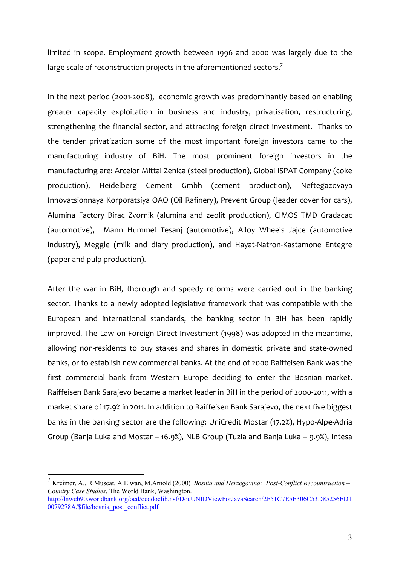limited in scope. Employment growth between 1996 and 2000 was largely due to the large scale of reconstruction projects in the aforementioned sectors.<sup>7</sup>

In the next period (2001-2008), economic growth was predominantly based on enabling greater capacity exploitation in business and industry, privatisation, restructuring, strengthening the financial sector, and attracting foreign direct investment. Thanks to the tender privatization some of the most important foreign investors came to the manufacturing industry of BiH. The most prominent foreign investors in the manufacturing are: Arcelor Mittal Zenica (steel production), Global ISPAT Company (coke production), Heidelberg Cement Gmbh (cement production), Neftegazovaya Innovatsionnaya Korporatsiya OAO (Oil Rafinery), Prevent Group (leader cover for cars), Alumina Factory Birac Zvornik (alumina and zeolit production), CIMOS TMD Gradacac (automotive), Mann Hummel Tesanj (automotive), Alloy Wheels Jajce (automotive industry), Meggle (milk and diary production), and Hayat-Natron-Kastamone Entegre (paper and pulp production).

After the war in BiH, thorough and speedy reforms were carried out in the banking sector. Thanks to a newly adopted legislative framework that was compatible with the European and international standards, the banking sector in BiH has been rapidly improved. The Law on Foreign Direct Investment (1998) was adopted in the meantime, allowing non-residents to buy stakes and shares in domestic private and state-owned banks, or to establish new commercial banks. At the end of 2000 Raiffeisen Bank was the first commercial bank from Western Europe deciding to enter the Bosnian market. Raiffeisen Bank Sarajevo became a market leader in BiH in the period of 2000-2011, with a market share of 17.9% in 2011. In addition to Raiffeisen Bank Sarajevo, the next five biggest banks in the banking sector are the following: UniCredit Mostar (17.2%), Hypo-Alpe-Adria Group (Banja Luka and Mostar – 16.9%), NLB Group (Tuzla and Banja Luka – 9.9%), Intesa

<u>.</u>

<sup>7</sup> Kreimer, A., R.Muscat, A.Elwan, M.Arnold (2000) *Bosnia and Herzegovina: Post-Conflict Recountruction – Country Case Studies*, The World Bank, Washington. http://lnweb90.worldbank.org/oed/oeddoclib.nsf/DocUNIDViewForJavaSearch/2F51C7E5E306C53D85256ED1 0079278A/\$file/bosnia\_post\_conflict.pdf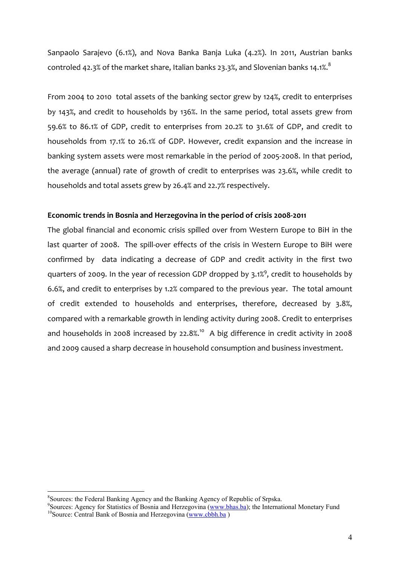Sanpaolo Sarajevo (6.1%), and Nova Banka Banja Luka (4.2%). In 2011, Austrian banks controled 42.3% of the market share, Italian banks 23.3%, and Slovenian banks 14.1%. $8$ 

From 2004 to 2010 total assets of the banking sector grew by 124%, credit to enterprises by 143%, and credit to households by 136%. In the same period, total assets grew from 59.6% to 86.1% of GDP, credit to enterprises from 20.2% to 31.6% of GDP, and credit to households from 17.1% to 26.1% of GDP. However, credit expansion and the increase in banking system assets were most remarkable in the period of 2005-2008. In that period, the average (annual) rate of growth of credit to enterprises was 23.6%, while credit to households and total assets grew by 26.4% and 22.7% respectively.

#### **Economic trends in Bosnia and Herzegovina in the period of crisis 2008-2011**

The global financial and economic crisis spilled over from Western Europe to BiH in the last quarter of 2008. The spill-over effects of the crisis in Western Europe to BiH were confirmed by data indicating a decrease of GDP and credit activity in the first two quarters of 2009. In the year of recession GDP dropped by 3.1%<sup>9</sup>, credit to households by 6.6%, and credit to enterprises by 1.2% compared to the previous year. The total amount of credit extended to households and enterprises, therefore, decreased by 3.8%, compared with a remarkable growth in lending activity during 2008. Credit to enterprises and households in 2008 increased by 22.8%.<sup>10</sup> A big difference in credit activity in 2008 and 2009 caused a sharp decrease in household consumption and business investment.

<sup>&</sup>lt;sup>8</sup> Sources: the Federal Banking Agency and the Banking Agency of Republic of Srpska.

<sup>&</sup>lt;sup>9</sup> Sources: Agency for Statistics of Bosnia and Herzegovina (www.bhas.ba); the International Monetary Fund <sup>10</sup> Source: Central Bank of Bosnia and Herzegovina (www.cbbh.ba)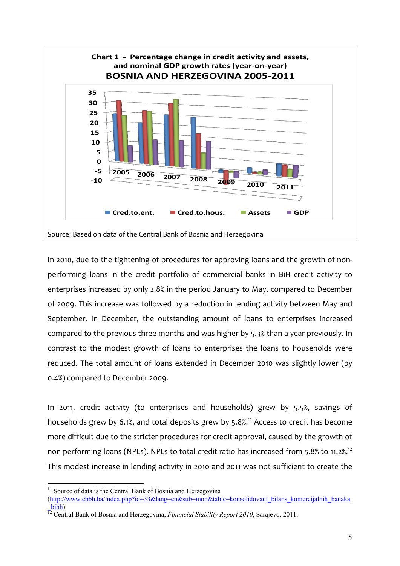

In 2010, due to the tightening of procedures for approving loans and the growth of nonperforming loans in the credit portfolio of commercial banks in BiH credit activity to enterprises increased by only 2.8% in the period January to May, compared to December of 2009. This increase was followed by a reduction in lending activity between May and September. In December, the outstanding amount of loans to enterprises increased compared to the previous three months and was higher by 5.3% than a year previously. In contrast to the modest growth of loans to enterprises the loans to households were reduced. The total amount of loans extended in December 2010 was slightly lower (by 0.4%) compared to December 2009.

In 2011, credit activity (to enterprises and households) grew by 5.5%, savings of households grew by 6.1%, and total deposits grew by 5.8%.<sup>11</sup> Access to credit has become more difficult due to the stricter procedures for credit approval, caused by the growth of non-performing loans (NPLs). NPLs to total credit ratio has increased from 5.8% to 11.2%.<sup>12</sup> This modest increase in lending activity in 2010 and 2011 was not sufficient to create the

 $11$  Source of data is the Central Bank of Bosnia and Herzegovina (http://www.cbbh.ba/index.php?id=33&lang=en&sub=mon&table=konsolidovani\_bilans\_komercijalnih\_banaka

\_bihh) 12 Central Bank of Bosnia and Herzegovina, *Financial Stability Report 2010*, Sarajevo, 2011.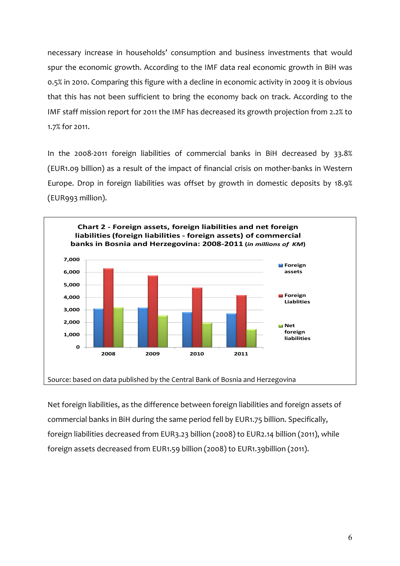necessary increase in households' consumption and business investments that would spur the economic growth. According to the IMF data real economic growth in BiH was 0.5% in 2010. Comparing this figure with a decline in economic activity in 2009 it is obvious that this has not been sufficient to bring the economy back on track. According to the IMF staff mission report for 2011 the IMF has decreased its growth projection from 2.2% to 1.7% for 2011.

In the 2008-2011 foreign liabilities of commercial banks in BiH decreased by 33.8% (EUR1.09 billion) as a result of the impact of financial crisis on mother-banks in Western Europe. Drop in foreign liabilities was offset by growth in domestic deposits by 18.9% (EUR993 million).



Net foreign liabilities, as the difference between foreign liabilities and foreign assets of commercial banks in BiH during the same period fell by EUR1.75 billion. Specifically, foreign liabilities decreased from EUR3.23 billion (2008) to EUR2.14 billion (2011), while foreign assets decreased from EUR1.59 billion (2008) to EUR1.39billion (2011).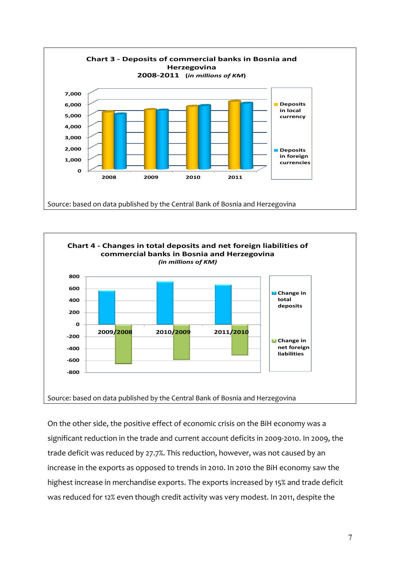



On the other side, the positive effect of economic crisis on the BiH economy was a significant reduction in the trade and current account deficits in 2009-2010. In 2009, the trade deficit was reduced by 27.7%. This reduction, however, was not caused by an increase in the exports as opposed to trends in 2010. In 2010 the BiH economy saw the highest increase in merchandise exports. The exports increased by 15% and trade deficit was reduced for 12% even though credit activity was very modest. In 2011, despite the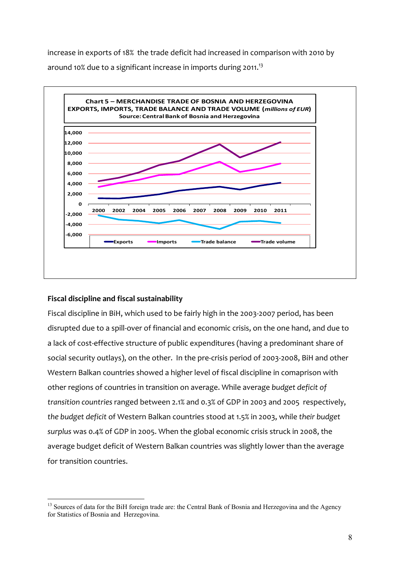increase in exports of 18% the trade deficit had increased in comparison with 2010 by around 10% due to a significant increase in imports during 2011.<sup>13</sup>



#### **Fiscal discipline and fiscal sustainability**

1

Fiscal discipline in BiH, which used to be fairly high in the 2003-2007 period, has been disrupted due to a spill-over of financial and economic crisis, on the one hand, and due to a lack of cost-effective structure of public expenditures (having a predominant share of social security outlays), on the other. In the pre-crisis period of 2003-2008, BiH and other Western Balkan countries showed a higher level of fiscal discipline in comaprison with other regions of countries in transition on average. While average *budget deficit of transition countries* ranged between 2.1% and 0.3% of GDP in 2003 and 2005 respectively, *the budget deficit* of Western Balkan countries stood at 1.5% in 2003, while *their budget surplus* was 0.4% of GDP in 2005. When the global economic crisis struck in 2008, the average budget deficit of Western Balkan countries was slightly lower than the average for transition countries.

<sup>&</sup>lt;sup>13</sup> Sources of data for the BiH foreign trade are: the Central Bank of Bosnia and Herzegovina and the Agency for Statistics of Bosnia and Herzegovina.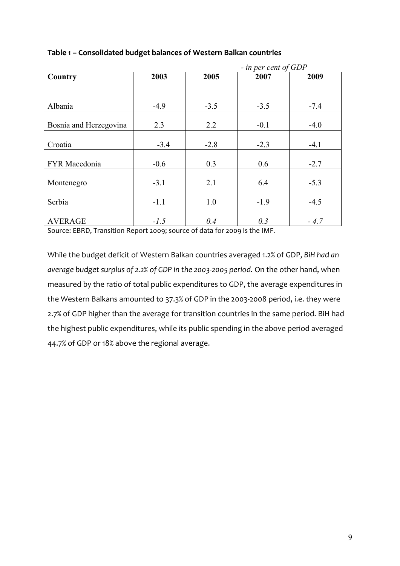|                        |        | - in per cent of GDP |        |        |  |
|------------------------|--------|----------------------|--------|--------|--|
| Country                | 2003   | 2005                 | 2007   | 2009   |  |
|                        |        |                      |        |        |  |
|                        |        |                      |        |        |  |
| Albania                | $-4.9$ | $-3.5$               | $-3.5$ | $-7.4$ |  |
| Bosnia and Herzegovina | 2.3    | 2.2                  | $-0.1$ | $-4.0$ |  |
| Croatia                | $-3.4$ | $-2.8$               | $-2.3$ | $-4.1$ |  |
| FYR Macedonia          | $-0.6$ | 0.3                  | 0.6    | $-2.7$ |  |
| Montenegro             | $-3.1$ | 2.1                  | 6.4    | $-5.3$ |  |
| Serbia                 | $-1.1$ | 1.0                  | $-1.9$ | $-4.5$ |  |
| <b>AVERAGE</b>         | $-1.5$ | 0.4                  | 0.3    | $-4.7$ |  |

#### **Table 1 – Consolidated budget balances of Western Balkan countries**

Source: EBRD, Transition Report 2009; source of data for 2009 is the IMF.

While the budget deficit of Western Balkan countries averaged 1.2% of GDP, *BiH had an average budget surplus of 2.2% of GDP in the 2003-2005 period.* On the other hand, when measured by the ratio of total public expenditures to GDP, the average expenditures in the Western Balkans amounted to 37.3% of GDP in the 2003-2008 period, i.e. they were 2.7% of GDP higher than the average for transition countries in the same period. BiH had the highest public expenditures, while its public spending in the above period averaged 44.7% of GDP or 18% above the regional average.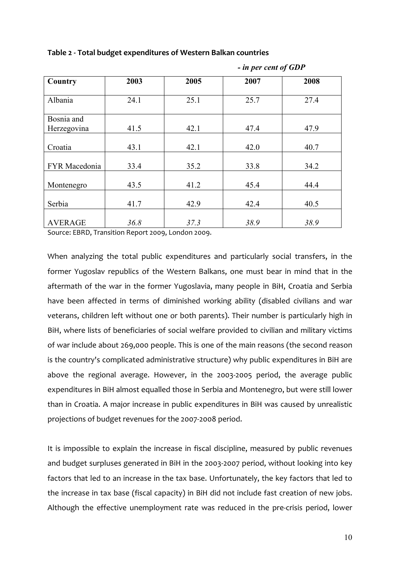| Country        | 2003 | 2005 | 2007 | 2008 |
|----------------|------|------|------|------|
|                |      |      |      |      |
| Albania        | 24.1 | 25.1 | 25.7 | 27.4 |
|                |      |      |      |      |
| Bosnia and     |      |      |      |      |
| Herzegovina    | 41.5 | 42.1 | 47.4 | 47.9 |
|                |      |      |      |      |
| Croatia        | 43.1 | 42.1 | 42.0 | 40.7 |
|                |      |      |      |      |
| FYR Macedonia  | 33.4 | 35.2 | 33.8 | 34.2 |
|                |      |      |      |      |
| Montenegro     | 43.5 | 41.2 | 45.4 | 44.4 |
|                |      |      |      |      |
| Serbia         | 41.7 | 42.9 | 42.4 | 40.5 |
|                |      |      |      |      |
| <b>AVERAGE</b> | 36.8 | 37.3 | 38.9 | 38.9 |

 *- in per cent of GDP* 

**Table 2 - Total budget expenditures of Western Balkan countries** 

Source: EBRD, Transition Report 2009, London 2009.

When analyzing the total public expenditures and particularly social transfers, in the former Yugoslav republics of the Western Balkans, one must bear in mind that in the aftermath of the war in the former Yugoslavia, many people in BiH, Croatia and Serbia have been affected in terms of diminished working ability (disabled civilians and war veterans, children left without one or both parents). Their number is particularly high in BiH, where lists of beneficiaries of social welfare provided to civilian and military victims of war include about 269,000 people. This is one of the main reasons (the second reason is the country's complicated administrative structure) why public expenditures in BiH are above the regional average. However, in the 2003-2005 period, the average public expenditures in BiH almost equalled those in Serbia and Montenegro, but were still lower than in Croatia. A major increase in public expenditures in BiH was caused by unrealistic projections of budget revenues for the 2007-2008 period.

It is impossible to explain the increase in fiscal discipline, measured by public revenues and budget surpluses generated in BiH in the 2003-2007 period, without looking into key factors that led to an increase in the tax base. Unfortunately, the key factors that led to the increase in tax base (fiscal capacity) in BiH did not include fast creation of new jobs. Although the effective unemployment rate was reduced in the pre-crisis period, lower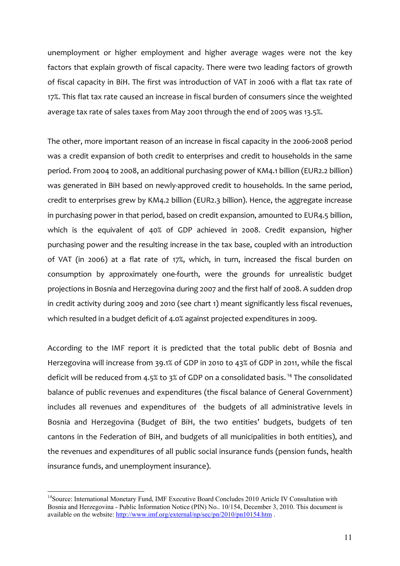unemployment or higher employment and higher average wages were not the key factors that explain growth of fiscal capacity. There were two leading factors of growth of fiscal capacity in BiH. The first was introduction of VAT in 2006 with a flat tax rate of 17%. This flat tax rate caused an increase in fiscal burden of consumers since the weighted average tax rate of sales taxes from May 2001 through the end of 2005 was 13.5%.

The other, more important reason of an increase in fiscal capacity in the 2006-2008 period was a credit expansion of both credit to enterprises and credit to households in the same period. From 2004 to 2008, an additional purchasing power of KM4.1 billion (EUR2.2 billion) was generated in BiH based on newly-approved credit to households. In the same period, credit to enterprises grew by KM4.2 billion (EUR2.3 billion). Hence, the aggregate increase in purchasing power in that period, based on credit expansion, amounted to EUR4.5 billion, which is the equivalent of 40% of GDP achieved in 2008. Credit expansion, higher purchasing power and the resulting increase in the tax base, coupled with an introduction of VAT (in 2006) at a flat rate of 17%, which, in turn, increased the fiscal burden on consumption by approximately one-fourth, were the grounds for unrealistic budget projections in Bosnia and Herzegovina during 2007 and the first half of 2008. A sudden drop in credit activity during 2009 and 2010 (see chart 1) meant significantly less fiscal revenues, which resulted in a budget deficit of 4.0% against projected expenditures in 2009.

According to the IMF report it is predicted that the total public debt of Bosnia and Herzegovina will increase from 39.1% of GDP in 2010 to 43% of GDP in 2011, while the fiscal deficit will be reduced from 4.5% to 3% of GDP on a consolidated basis. 14 The consolidated balance of public revenues and expenditures (the fiscal balance of General Government) includes all revenues and expenditures of the budgets of all administrative levels in Bosnia and Herzegovina (Budget of BiH, the two entities' budgets, budgets of ten cantons in the Federation of BiH, and budgets of all municipalities in both entities), and the revenues and expenditures of all public social insurance funds (pension funds, health insurance funds, and unemployment insurance).

<sup>&</sup>lt;sup>14</sup> Source: International Monetary Fund, IMF Executive Board Concludes 2010 Article IV Consultation with Bosnia and Herzegovina - Public Information Notice (PIN) No.. 10/154, December 3, 2010. This document is available on the website: http://www.imf.org/external/np/sec/pn/2010/pn10154.htm.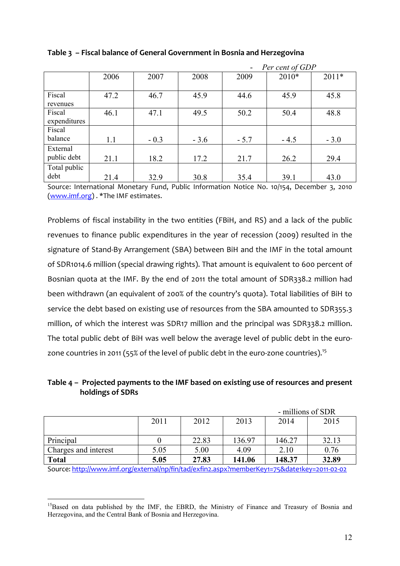|              |      |        | Per cent of GDP<br>$\qquad \qquad \blacksquare$ |        |        |         |
|--------------|------|--------|-------------------------------------------------|--------|--------|---------|
|              | 2006 | 2007   | 2008                                            | 2009   | 2010*  | $2011*$ |
|              |      |        |                                                 |        |        |         |
| Fiscal       | 47.2 | 46.7   | 45.9                                            | 44.6   | 45.9   | 45.8    |
| revenues     |      |        |                                                 |        |        |         |
| Fiscal       | 46.1 | 47.1   | 49.5                                            | 50.2   | 50.4   | 48.8    |
| expenditures |      |        |                                                 |        |        |         |
| Fiscal       |      |        |                                                 |        |        |         |
| balance      | 1.1  | $-0.3$ | $-3.6$                                          | $-5.7$ | $-4.5$ | $-3.0$  |
| External     |      |        |                                                 |        |        |         |
| public debt  | 21.1 | 18.2   | 17.2                                            | 21.7   | 26.2   | 29.4    |
| Total public |      |        |                                                 |        |        |         |
| debt         | 21.4 | 32.9   | 30.8                                            | 35.4   | 39.1   | 43.0    |

#### **Table 3 – Fiscal balance of General Government in Bosnia and Herzegovina**

Source: International Monetary Fund, Public Information Notice No. 10/154, December 3, 2010 (www.imf.org) . \*The IMF estimates.

Problems of fiscal instability in the two entities (FBiH, and RS) and a lack of the public revenues to finance public expenditures in the year of recession (2009) resulted in the signature of Stand-By Arrangement (SBA) between BiH and the IMF in the total amount of SDR1014.6 million (special drawing rights). That amount is equivalent to 600 percent of Bosnian quota at the IMF. By the end of 2011 the total amount of SDR338.2 million had been withdrawn (an equivalent of 200% of the country's quota). Total liabilities of BiH to service the debt based on existing use of resources from the SBA amounted to SDR355.3 million, of which the interest was SDR17 million and the principal was SDR338.2 million. The total public debt of BiH was well below the average level of public debt in the eurozone countries in 2011 (55% of the level of public debt in the euro-zone countries).<sup>15</sup>

#### **Table 4 – Projected payments to the IMF based on existing use of resources and present holdings of SDRs**

|                      |      |       |        | - millions of SDR |       |
|----------------------|------|-------|--------|-------------------|-------|
|                      | 2011 | 2012  | 2013   | 2014              | 2015  |
|                      |      |       |        |                   |       |
| Principal            |      | 22.83 | 136.97 | 146.27            | 32.13 |
| Charges and interest | 5.05 | 5.00  | 4.09   | 2.10              | 0.76  |
| <b>Total</b>         | 5.05 | 27.83 | 141.06 | 148.37            | 32.89 |

Source: http://www.imf.org/external/np/fin/tad/exfin2.aspx?memberKey1=75&date1key=2011-02-02

<sup>1</sup> <sup>15</sup>Based on data published by the IMF, the EBRD, the Ministry of Finance and Treasury of Bosnia and Herzegovina, and the Central Bank of Bosnia and Herzegovina.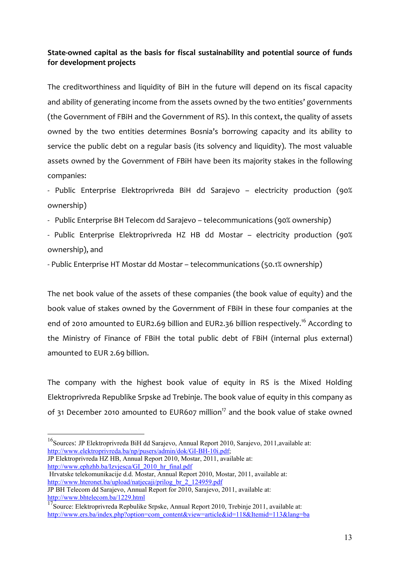#### **State-owned capital as the basis for fiscal sustainability and potential source of funds for development projects**

The creditworthiness and liquidity of BiH in the future will depend on its fiscal capacity and ability of generating income from the assets owned by the two entities' governments (the Government of FBiH and the Government of RS). In this context, the quality of assets owned by the two entities determines Bosnia's borrowing capacity and its ability to service the public debt on a regular basis (its solvency and liquidity). The most valuable assets owned by the Government of FBiH have been its majority stakes in the following companies:

- Public Enterprise Elektroprivreda BiH dd Sarajevo – electricity production (90% ownership)

- Public Enterprise BH Telecom dd Sarajevo telecommunications (90% ownership)
- Public Enterprise Elektroprivreda HZ HB dd Mostar electricity production (90% ownership), and

- Public Enterprise HT Mostar dd Mostar – telecommunications (50.1% ownership)

The net book value of the assets of these companies (the book value of equity) and the book value of stakes owned by the Government of FBiH in these four companies at the end of 2010 amounted to EUR2.69 billion and EUR2.36 billion respectively.<sup>16</sup> According to the Ministry of Finance of FBiH the total public debt of FBiH (internal plus external) amounted to EUR 2.69 billion.

The company with the highest book value of equity in RS is the Mixed Holding Elektroprivreda Republike Srpske ad Trebinje. The book value of equity in this company as of 31 December 2010 amounted to EUR607 million<sup>17</sup> and the book value of stake owned

JP Elektroprivreda HZ HB, Annual Report 2010, Mostar, 2011, available at: http://www.ephzhb.ba/Izvjesca/GI\_2010\_hr\_final.pdf

1

 Hrvatske telekomunikacije d.d. Mostar, Annual Report 2010, Mostar, 2011, available at: http://www.hteronet.ba/upload/natjecaji/prilog\_br\_2\_124959.pdf

<sup>&</sup>lt;sup>16</sup>Sources: JP Elektroprivreda BiH dd Sarajevo, Annual Report 2010, Sarajevo, 2011, available at: http://www.elektroprivreda.ba/np/pusers/admin/dok/GI-BH-10i.pdf;

JP BH Telecom dd Sarajevo, Annual Report for 2010, Sarajevo, 2011, available at: http://www.bhtelecom.ba/1229.html

<sup>17&</sup>lt;br>Source: Elektroprivreda Repbulike Srpske, Annual Report 2010, Trebinje 2011, available at: http://www.ers.ba/index.php?option=com\_content&view=article&id=118&Itemid=113&lang=ba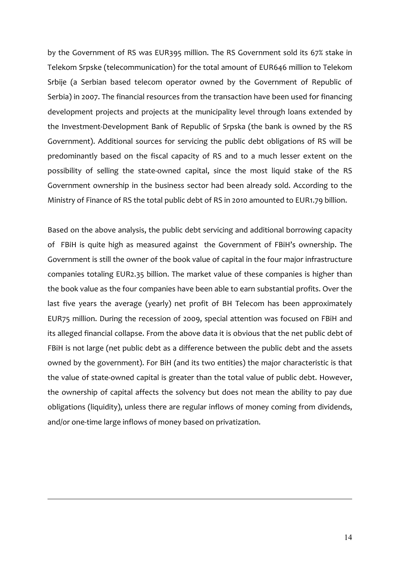by the Government of RS was EUR395 million. The RS Government sold its 67% stake in Telekom Srpske (telecommunication) for the total amount of EUR646 million to Telekom Srbije (a Serbian based telecom operator owned by the Government of Republic of Serbia) in 2007. The financial resources from the transaction have been used for financing development projects and projects at the municipality level through loans extended by the Investment-Development Bank of Republic of Srpska (the bank is owned by the RS Government). Additional sources for servicing the public debt obligations of RS will be predominantly based on the fiscal capacity of RS and to a much lesser extent on the possibility of selling the state-owned capital, since the most liquid stake of the RS Government ownership in the business sector had been already sold. According to the Ministry of Finance of RS the total public debt of RS in 2010 amounted to EUR1.79 billion.

Based on the above analysis, the public debt servicing and additional borrowing capacity of FBiH is quite high as measured against the Government of FBiH's ownership. The Government is still the owner of the book value of capital in the four major infrastructure companies totaling EUR2.35 billion. The market value of these companies is higher than the book value as the four companies have been able to earn substantial profits. Over the last five years the average (yearly) net profit of BH Telecom has been approximately EUR75 million. During the recession of 2009, special attention was focused on FBiH and its alleged financial collapse. From the above data it is obvious that the net public debt of FBiH is not large (net public debt as a difference between the public debt and the assets owned by the government). For BiH (and its two entities) the major characteristic is that the value of state-owned capital is greater than the total value of public debt. However, the ownership of capital affects the solvency but does not mean the ability to pay due obligations (liquidity), unless there are regular inflows of money coming from dividends, and/or one-time large inflows of money based on privatization.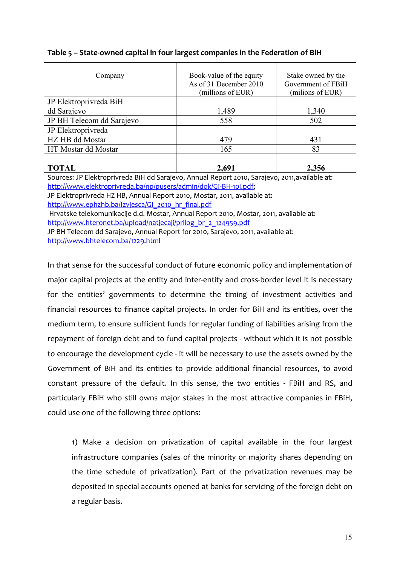| Company                   | Book-value of the equity<br>As of 31 December 2010<br>(millions of EUR) | Stake owned by the<br>Government of FBiH<br>(milions of EUR) |
|---------------------------|-------------------------------------------------------------------------|--------------------------------------------------------------|
| JP Elektroprivreda BiH    |                                                                         |                                                              |
| dd Sarajevo               | 1,489                                                                   | 1,340                                                        |
| JP BH Telecom dd Sarajevo | 558                                                                     | 502                                                          |
| JP Elektroprivreda        |                                                                         |                                                              |
| HZ HB dd Mostar           | 479                                                                     | 431                                                          |
| HT Mostar dd Mostar       | 165                                                                     | 83                                                           |
| <b>TOTAL</b>              | 2,691                                                                   | 2,356                                                        |

#### **Table 5 – State-owned capital in four largest companies in the Federation of BiH**

Sources: JP Elektroprivreda BiH dd Sarajevo, Annual Report 2010, Sarajevo, 2011,available at: http://www.elektroprivreda.ba/np/pusers/admin/dok/GI-BH-10i.pdf;

JP Elektroprivreda HZ HB, Annual Report 2010, Mostar, 2011, available at: http://www.ephzhb.ba/Izvjesca/GI\_2010\_hr\_final.pdf

Hrvatske telekomunikacije d.d. Mostar, Annual Report 2010, Mostar, 2011, available at:

http://www.hteronet.ba/upload/natjecaji/prilog\_br\_2\_124959.pdf

JP BH Telecom dd Sarajevo, Annual Report for 2010, Sarajevo, 2011, available at: http://www.bhtelecom.ba/1229.html

In that sense for the successful conduct of future economic policy and implementation of major capital projects at the entity and inter-entity and cross-border level it is necessary for the entities' governments to determine the timing of investment activities and financial resources to finance capital projects. In order for BiH and its entities, over the medium term, to ensure sufficient funds for regular funding of liabilities arising from the repayment of foreign debt and to fund capital projects - without which it is not possible to encourage the development cycle - it will be necessary to use the assets owned by the Government of BiH and its entities to provide additional financial resources, to avoid constant pressure of the default. In this sense, the two entities - FBiH and RS, and particularly FBiH who still owns major stakes in the most attractive companies in FBiH, could use one of the following three options:

1) Make a decision on privatization of capital available in the four largest infrastructure companies (sales of the minority or majority shares depending on the time schedule of privatization). Part of the privatization revenues may be deposited in special accounts opened at banks for servicing of the foreign debt on a regular basis.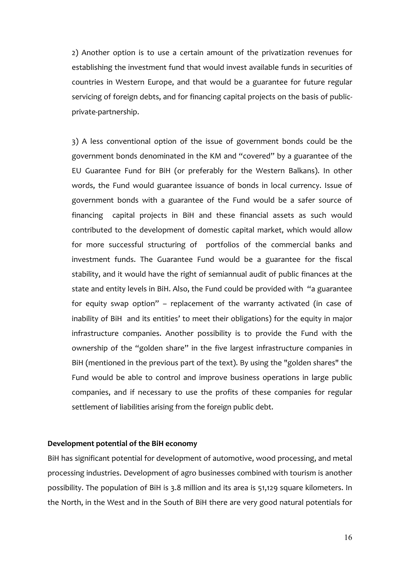2) Another option is to use a certain amount of the privatization revenues for establishing the investment fund that would invest available funds in securities of countries in Western Europe, and that would be a guarantee for future regular servicing of foreign debts, and for financing capital projects on the basis of publicprivate-partnership.

3) A less conventional option of the issue of government bonds could be the government bonds denominated in the KM and "covered" by a guarantee of the EU Guarantee Fund for BiH (or preferably for the Western Balkans). In other words, the Fund would guarantee issuance of bonds in local currency. Issue of government bonds with a guarantee of the Fund would be a safer source of financing capital projects in BiH and these financial assets as such would contributed to the development of domestic capital market, which would allow for more successful structuring of portfolios of the commercial banks and investment funds. The Guarantee Fund would be a guarantee for the fiscal stability, and it would have the right of semiannual audit of public finances at the state and entity levels in BiH. Also, the Fund could be provided with "a guarantee for equity swap option" – replacement of the warranty activated (in case of inability of BiH and its entities' to meet their obligations) for the equity in major infrastructure companies. Another possibility is to provide the Fund with the ownership of the "golden share" in the five largest infrastructure companies in BiH (mentioned in the previous part of the text). By using the "golden shares" the Fund would be able to control and improve business operations in large public companies, and if necessary to use the profits of these companies for regular settlement of liabilities arising from the foreign public debt.

#### **Development potential of the BiH economy**

BiH has significant potential for development of automotive, wood processing, and metal processing industries. Development of agro businesses combined with tourism is another possibility. The population of BiH is 3.8 million and its area is 51,129 square kilometers. In the North, in the West and in the South of BiH there are very good natural potentials for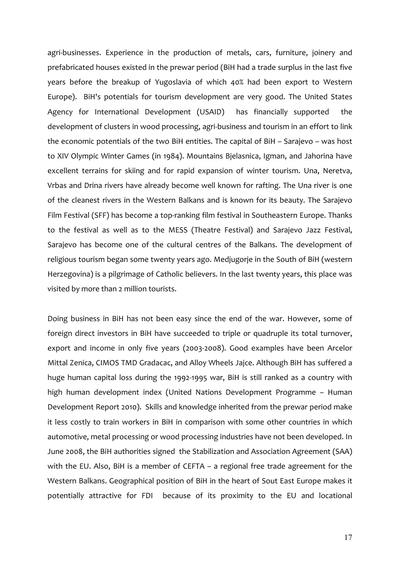agri-businesses. Experience in the production of metals, cars, furniture, joinery and prefabricated houses existed in the prewar period (BiH had a trade surplus in the last five years before the breakup of Yugoslavia of which 40% had been export to Western Europe). BiH's potentials for tourism development are very good. The United States Agency for International Development (USAID) has financially supported the development of clusters in wood processing, agri-business and tourism in an effort to link the economic potentials of the two BiH entities. The capital of BiH – Sarajevo – was host to XIV Olympic Winter Games (in 1984). Mountains Bjelasnica, Igman, and Jahorina have excellent terrains for skiing and for rapid expansion of winter tourism. Una, Neretva, Vrbas and Drina rivers have already become well known for rafting. The Una river is one of the cleanest rivers in the Western Balkans and is known for its beauty. The Sarajevo Film Festival (SFF) has become a top-ranking film festival in Southeastern Europe. Thanks to the festival as well as to the MESS (Theatre Festival) and Sarajevo Jazz Festival, Sarajevo has become one of the cultural centres of the Balkans. The development of religious tourism began some twenty years ago. Medjugorje in the South of BiH (western Herzegovina) is a pilgrimage of Catholic believers. In the last twenty years, this place was visited by more than 2 million tourists.

Doing business in BiH has not been easy since the end of the war. However, some of foreign direct investors in BiH have succeeded to triple or quadruple its total turnover, export and income in only five years (2003-2008). Good examples have been Arcelor Mittal Zenica, CIMOS TMD Gradacac, and Alloy Wheels Jajce. Although BiH has suffered a huge human capital loss during the 1992-1995 war, BiH is still ranked as a country with high human development index (United Nations Development Programme – Human Development Report 2010). Skills and knowledge inherited from the prewar period make it less costly to train workers in BiH in comparison with some other countries in which automotive, metal processing or wood processing industries have not been developed. In June 2008, the BiH authorities signed the Stabilization and Association Agreement (SAA) with the EU. Also, BiH is a member of CEFTA – a regional free trade agreement for the Western Balkans. Geographical position of BiH in the heart of Sout East Europe makes it potentially attractive for FDI because of its proximity to the EU and locational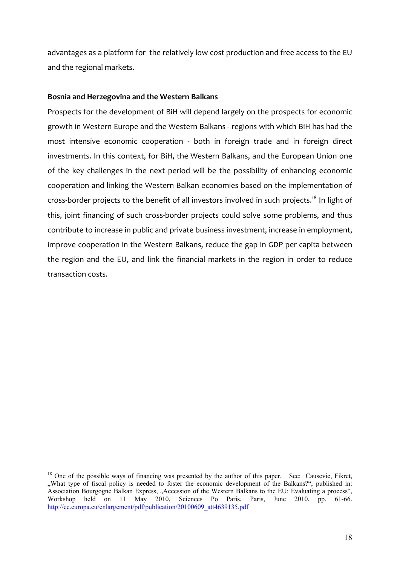advantages as a platform for the relatively low cost production and free access to the EU and the regional markets.

#### **Bosnia and Herzegovina and the Western Balkans**

Prospects for the development of BiH will depend largely on the prospects for economic growth in Western Europe and the Western Balkans - regions with which BiH has had the most intensive economic cooperation - both in foreign trade and in foreign direct investments. In this context, for BiH, the Western Balkans, and the European Union one of the key challenges in the next period will be the possibility of enhancing economic cooperation and linking the Western Balkan economies based on the implementation of cross-border projects to the benefit of all investors involved in such projects.<sup>18</sup> In light of this, joint financing of such cross-border projects could solve some problems, and thus contribute to increase in public and private business investment, increase in employment, improve cooperation in the Western Balkans, reduce the gap in GDP per capita between the region and the EU, and link the financial markets in the region in order to reduce transaction costs.

<sup>&</sup>lt;sup>18</sup> One of the possible ways of financing was presented by the author of this paper. See: Causevic, Fikret, ", What type of fiscal policy is needed to foster the economic development of the Balkans?", published in: Association Bourgogne Balkan Express, "Accession of the Western Balkans to the EU: Evaluating a process", Workshop held on 11 May 2010, Sciences Po Paris, Paris, June 2010, pp. 61-66. http://ec.europa.eu/enlargement/pdf/publication/20100609\_att4639135.pdf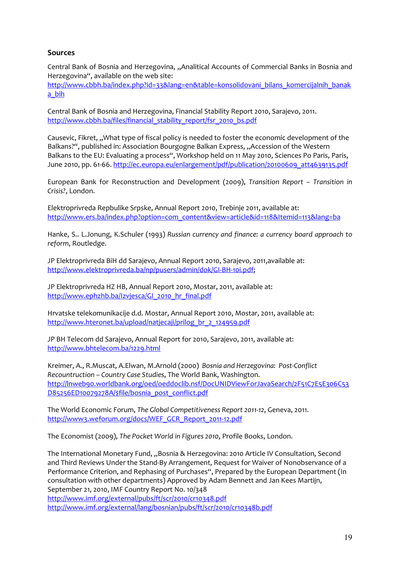#### **Sources**

Central Bank of Bosnia and Herzegovina, "Analitical Accounts of Commercial Banks in Bosnia and Herzegovina", available on the web site:

http://www.cbbh.ba/index.php?id=33&lang=en&table=konsolidovani\_bilans\_komercijalnih\_banak a\_bih

Central Bank of Bosnia and Herzegovina, Financial Stability Report 2010, Sarajevo, 2011. http://www.cbbh.ba/files/financial\_stability\_report/fsr\_2010\_bs.pdf

Causevic, Fikret, "What type of fiscal policy is needed to foster the economic development of the Balkans?", published in: Association Bourgogne Balkan Express, "Accession of the Western Balkans to the EU: Evaluating a process", Workshop held on 11 May 2010, Sciences Po Paris, Paris, June 2010, pp. 61-66. http://ec.europa.eu/enlargement/pdf/publication/20100609\_att4639135.pdf

European Bank for Reconstruction and Development (2009), *Transition Report – Transition in Crisis?*, London.

Elektroprivreda Repbulike Srpske, Annual Report 2010, Trebinje 2011, available at: http://www.ers.ba/index.php?option=com\_content&view=article&id=118&Itemid=113&lang=ba

Hanke, S.. L.Jonung, K.Schuler (1993) *Russian currency and finance: a currency board approach to reform*, Routledge.

JP Elektroprivreda BiH dd Sarajevo, Annual Report 2010, Sarajevo, 2011,available at: http://www.elektroprivreda.ba/np/pusers/admin/dok/GI-BH-10i.pdf;

JP Elektroprivreda HZ HB, Annual Report 2010, Mostar, 2011, available at: http://www.ephzhb.ba/Izvjesca/GI\_2010\_hr\_final.pdf

Hrvatske telekomunikacije d.d. Mostar, Annual Report 2010, Mostar, 2011, available at: http://www.hteronet.ba/upload/natjecaji/prilog\_br\_2\_124959.pdf

JP BH Telecom dd Sarajevo, Annual Report for 2010, Sarajevo, 2011, available at: http://www.bhtelecom.ba/1229.html

Kreimer, A., R.Muscat, A.Elwan, M.Arnold (2000) *Bosnia and Herzegovina: Post-Conflict Recountruction – Country Case Studies*, The World Bank, Washington. http://lnweb90.worldbank.org/oed/oeddoclib.nsf/DocUNIDViewForJavaSearch/2F51C7E5E306C53 D85256ED10079278A/\$file/bosnia\_post\_conflict.pdf

The World Economic Forum, *The Global Competitiveness Report 2011-12*, Geneva, 2011. http://www3.weforum.org/docs/WEF\_GCR\_Report\_2011-12.pdf

The Economist (2009), *The Pocket World in Figures 2010*, Profile Books, London.

The International Monetary Fund, "Bosnia & Herzegovina: 2010 Article IV Consultation, Second and Third Reviews Under the Stand-By Arrangement, Request for Waiver of Nonobservance of a Performance Criterion, and Rephasing of Purchases", Prepared by the European Department (In consultation with other departments) Approved by Adam Bennett and Jan Kees Martijn, September 21, 2010, IMF Country Report No. 10/348 http://www.imf.org/external/pubs/ft/scr/2010/cr10348.pdf http://www.imf.org/external/lang/bosnian/pubs/ft/scr/2010/cr10348b.pdf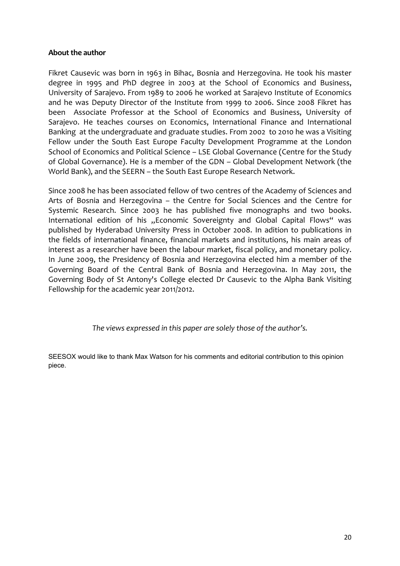#### **About the author**

Fikret Causevic was born in 1963 in Bihac, Bosnia and Herzegovina. He took his master degree in 1995 and PhD degree in 2003 at the School of Economics and Business, University of Sarajevo. From 1989 to 2006 he worked at Sarajevo Institute of Economics and he was Deputy Director of the Institute from 1999 to 2006. Since 2008 Fikret has been Associate Professor at the School of Economics and Business, University of Sarajevo. He teaches courses on Economics, International Finance and International Banking at the undergraduate and graduate studies. From 2002 to 2010 he was a Visiting Fellow under the South East Europe Faculty Development Programme at the London School of Economics and Political Science – LSE Global Governance (Centre for the Study of Global Governance). He is a member of the GDN – Global Development Network (the World Bank), and the SEERN – the South East Europe Research Network.

Since 2008 he has been associated fellow of two centres of the Academy of Sciences and Arts of Bosnia and Herzegovina – the Centre for Social Sciences and the Centre for Systemic Research. Since 2003 he has published five monographs and two books. International edition of his "Economic Sovereignty and Global Capital Flows" was published by Hyderabad University Press in October 2008. In adition to publications in the fields of international finance, financial markets and institutions, his main areas of interest as a researcher have been the labour market, fiscal policy, and monetary policy. In June 2009, the Presidency of Bosnia and Herzegovina elected him a member of the Governing Board of the Central Bank of Bosnia and Herzegovina. In May 2011, the Governing Body of St Antony's College elected Dr Causevic to the Alpha Bank Visiting Fellowship for the academic year 2011/2012.

*The views expressed in this paper are solely those of the author's.* 

SEESOX would like to thank Max Watson for his comments and editorial contribution to this opinion piece.